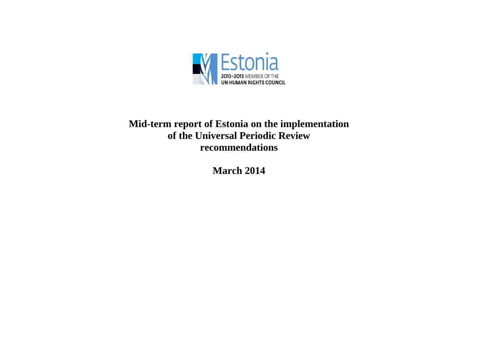

## **Mid-term report of Estonia on the implementation of the Universal Periodic Review recommendations**

**March 2014**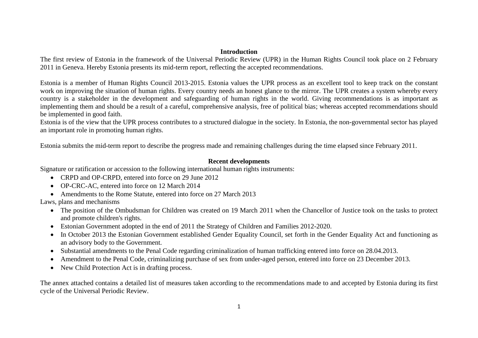## **Introduction**

The first review of Estonia in the framework of the Universal Periodic Review (UPR) in the Human Rights Council took place on 2 February 2011 in Geneva. Hereby Estonia presents its mid-term report, reflecting the accepted recommendations.

Estonia is a member of Human Rights Council 2013-2015. Estonia values the UPR process as an excellent tool to keep track on the constant work on improving the situation of human rights. Every country needs an honest glance to the mirror. The UPR creates a system whereby every country is a stakeholder in the development and safeguarding of human rights in the world. Giving recommendations is as important as implementing them and should be a result of a careful, comprehensive analysis, free of political bias; whereas accepted recommendations should be implemented in good faith.

Estonia is of the view that the UPR process contributes to a structured dialogue in the society. In Estonia, the non-governmental sector has played an important role in promoting human rights.

Estonia submits the mid-term report to describe the progress made and remaining challenges during the time elapsed since February 2011.

## **Recent developments**

Signature or ratification or accession to the following international human rights instruments:

- CRPD and OP-CRPD, entered into force on 29 June 2012
- OP-CRC-AC, entered into force on 12 March 2014
- Amendments to the Rome Statute, entered into force on 27 March 2013

Laws, plans and mechanisms

- The position of the Ombudsman for Children was created on 19 March 2011 when the Chancellor of Justice took on the tasks to protect and promote children's rights.
- Estonian Government adopted in the end of 2011 the Strategy of Children and Families 2012-2020.
- In October 2013 the Estonian Government established Gender Equality Council, set forth in the Gender Equality Act and functioning as an advisory body to the Government.
- Substantial amendments to the Penal Code regarding criminalization of human trafficking entered into force on 28.04.2013.
- Amendment to the Penal Code, criminalizing purchase of sex from under-aged person, entered into force on 23 December 2013.
- New Child Protection Act is in drafting process.

The annex attached contains a detailed list of measures taken according to the recommendations made to and accepted by Estonia during its first cycle of the Universal Periodic Review.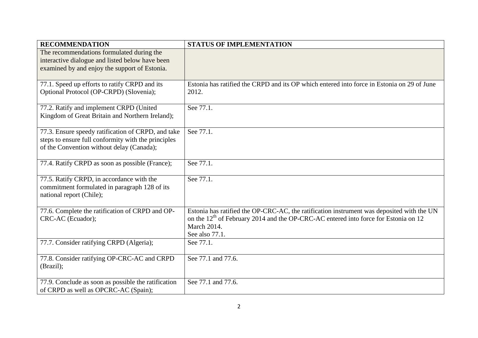| <b>RECOMMENDATION</b>                               | <b>STATUS OF IMPLEMENTATION</b>                                                            |
|-----------------------------------------------------|--------------------------------------------------------------------------------------------|
| The recommendations formulated during the           |                                                                                            |
| interactive dialogue and listed below have been     |                                                                                            |
| examined by and enjoy the support of Estonia.       |                                                                                            |
|                                                     |                                                                                            |
| 77.1. Speed up efforts to ratify CRPD and its       | Estonia has ratified the CRPD and its OP which entered into force in Estonia on 29 of June |
| Optional Protocol (OP-CRPD) (Slovenia);             | 2012.                                                                                      |
| 77.2. Ratify and implement CRPD (United             | See 77.1.                                                                                  |
| Kingdom of Great Britain and Northern Ireland);     |                                                                                            |
|                                                     |                                                                                            |
| 77.3. Ensure speedy ratification of CRPD, and take  | See 77.1.                                                                                  |
| steps to ensure full conformity with the principles |                                                                                            |
| of the Convention without delay (Canada);           |                                                                                            |
|                                                     |                                                                                            |
| 77.4. Ratify CRPD as soon as possible (France);     | See 77.1.                                                                                  |
| 77.5. Ratify CRPD, in accordance with the           | See 77.1.                                                                                  |
| commitment formulated in paragraph 128 of its       |                                                                                            |
| national report (Chile);                            |                                                                                            |
|                                                     |                                                                                            |
| 77.6. Complete the ratification of CRPD and OP-     | Estonia has ratified the OP-CRC-AC, the ratification instrument was deposited with the UN  |
| CRC-AC (Ecuador);                                   | on the $12^{th}$ of February 2014 and the OP-CRC-AC entered into force for Estonia on 12   |
|                                                     | <b>March 2014.</b><br>See also 77.1.                                                       |
| 77.7. Consider ratifying CRPD (Algeria);            | See 77.1.                                                                                  |
|                                                     |                                                                                            |
| 77.8. Consider ratifying OP-CRC-AC and CRPD         | See 77.1 and 77.6.                                                                         |
| (Brazil);                                           |                                                                                            |
|                                                     |                                                                                            |
| 77.9. Conclude as soon as possible the ratification | See 77.1 and 77.6.                                                                         |
| of CRPD as well as OPCRC-AC (Spain);                |                                                                                            |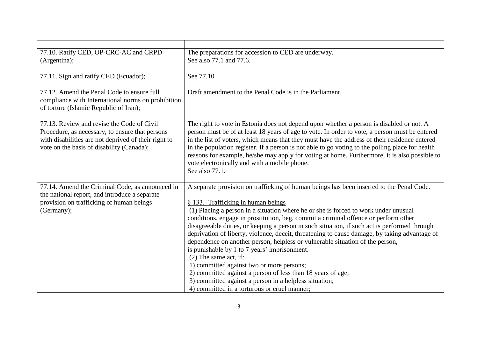| 77.10. Ratify CED, OP-CRC-AC and CRPD                                                                                                                                                              | The preparations for accession to CED are underway.                                                                                                                                                                                                                                                                                                                                                                                                                                                                                                                                                                                                                                                                                                                                                                                                                                             |
|----------------------------------------------------------------------------------------------------------------------------------------------------------------------------------------------------|-------------------------------------------------------------------------------------------------------------------------------------------------------------------------------------------------------------------------------------------------------------------------------------------------------------------------------------------------------------------------------------------------------------------------------------------------------------------------------------------------------------------------------------------------------------------------------------------------------------------------------------------------------------------------------------------------------------------------------------------------------------------------------------------------------------------------------------------------------------------------------------------------|
| (Argentina);                                                                                                                                                                                       | See also 77.1 and 77.6.                                                                                                                                                                                                                                                                                                                                                                                                                                                                                                                                                                                                                                                                                                                                                                                                                                                                         |
| 77.11. Sign and ratify CED (Ecuador);                                                                                                                                                              | See 77.10                                                                                                                                                                                                                                                                                                                                                                                                                                                                                                                                                                                                                                                                                                                                                                                                                                                                                       |
| 77.12. Amend the Penal Code to ensure full<br>compliance with International norms on prohibition<br>of torture (Islamic Republic of Iran);                                                         | Draft amendment to the Penal Code is in the Parliament.                                                                                                                                                                                                                                                                                                                                                                                                                                                                                                                                                                                                                                                                                                                                                                                                                                         |
| 77.13. Review and revise the Code of Civil<br>Procedure, as necessary, to ensure that persons<br>with disabilities are not deprived of their right to<br>vote on the basis of disability (Canada); | The right to vote in Estonia does not depend upon whether a person is disabled or not. A<br>person must be of at least 18 years of age to vote. In order to vote, a person must be entered<br>in the list of voters, which means that they must have the address of their residence entered<br>in the population register. If a person is not able to go voting to the polling place for health<br>reasons for example, he/she may apply for voting at home. Furthermore, it is also possible to<br>vote electronically and with a mobile phone.<br>See also 77.1.                                                                                                                                                                                                                                                                                                                              |
| 77.14. Amend the Criminal Code, as announced in<br>the national report, and introduce a separate<br>provision on trafficking of human beings<br>(Germany);                                         | A separate provision on trafficking of human beings has been inserted to the Penal Code.<br>§ 133. Trafficking in human beings<br>(1) Placing a person in a situation where he or she is forced to work under unusual<br>conditions, engage in prostitution, beg, commit a criminal offence or perform other<br>disagreeable duties, or keeping a person in such situation, if such act is performed through<br>deprivation of liberty, violence, deceit, threatening to cause damage, by taking advantage of<br>dependence on another person, helpless or vulnerable situation of the person,<br>is punishable by 1 to 7 years' imprisonment.<br>$(2)$ The same act, if:<br>1) committed against two or more persons;<br>2) committed against a person of less than 18 years of age;<br>3) committed against a person in a helpless situation;<br>4) committed in a torturous or cruel manner; |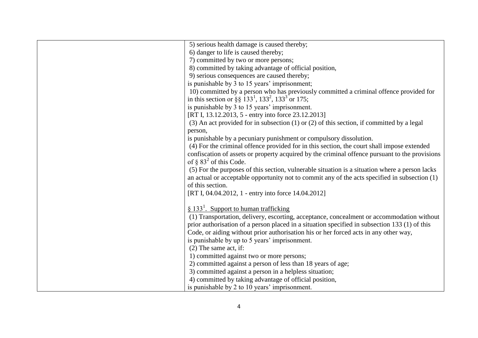| 5) serious health damage is caused thereby;                                                     |
|-------------------------------------------------------------------------------------------------|
| 6) danger to life is caused thereby;                                                            |
| 7) committed by two or more persons;                                                            |
| 8) committed by taking advantage of official position,                                          |
| 9) serious consequences are caused thereby;                                                     |
| is punishable by 3 to 15 years' imprisonment;                                                   |
| 10) committed by a person who has previously committed a criminal offence provided for          |
| in this section or §§ $133^1$ , $133^2$ , $133^3$ or 175;                                       |
| is punishable by 3 to 15 years' imprisonment.                                                   |
| [RT I, 13.12.2013, 5 - entry into force 23.12.2013]                                             |
| $(3)$ An act provided for in subsection $(1)$ or $(2)$ of this section, if committed by a legal |
| person,                                                                                         |
| is punishable by a pecuniary punishment or compulsory dissolution.                              |
| (4) For the criminal offence provided for in this section, the court shall impose extended      |
| confiscation of assets or property acquired by the criminal offence pursuant to the provisions  |
| of § $832$ of this Code.                                                                        |
| (5) For the purposes of this section, vulnerable situation is a situation where a person lacks  |
| an actual or acceptable opportunity not to commit any of the acts specified in subsection (1)   |
| of this section.                                                                                |
| [RT I, 04.04.2012, 1 - entry into force 14.04.2012]                                             |
|                                                                                                 |
| $\S 1331$ . Support to human trafficking                                                        |
| (1) Transportation, delivery, escorting, acceptance, concealment or accommodation without       |
| prior authorisation of a person placed in a situation specified in subsection 133 (1) of this   |
| Code, or aiding without prior authorisation his or her forced acts in any other way,            |
| is punishable by up to 5 years' imprisonment.                                                   |
| $(2)$ The same act, if:                                                                         |
| 1) committed against two or more persons;                                                       |
| 2) committed against a person of less than 18 years of age;                                     |
| 3) committed against a person in a helpless situation;                                          |
| 4) committed by taking advantage of official position,                                          |
| is punishable by 2 to 10 years' imprisonment.                                                   |
|                                                                                                 |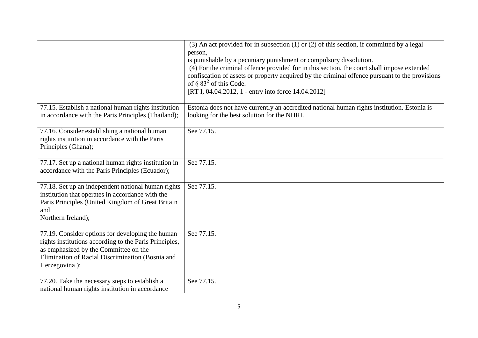|                                                        | $(3)$ An act provided for in subsection $(1)$ or $(2)$ of this section, if committed by a legal |
|--------------------------------------------------------|-------------------------------------------------------------------------------------------------|
|                                                        | person,<br>is punishable by a pecuniary punishment or compulsory dissolution.                   |
|                                                        | (4) For the criminal offence provided for in this section, the court shall impose extended      |
|                                                        | confiscation of assets or property acquired by the criminal offence pursuant to the provisions  |
|                                                        | of $\S 83^2$ of this Code.                                                                      |
|                                                        | [RT I, 04.04.2012, 1 - entry into force 14.04.2012]                                             |
|                                                        |                                                                                                 |
| 77.15. Establish a national human rights institution   | Estonia does not have currently an accredited national human rights institution. Estonia is     |
| in accordance with the Paris Principles (Thailand);    | looking for the best solution for the NHRI.                                                     |
|                                                        |                                                                                                 |
| 77.16. Consider establishing a national human          | See 77.15.                                                                                      |
| rights institution in accordance with the Paris        |                                                                                                 |
| Principles (Ghana);                                    |                                                                                                 |
|                                                        |                                                                                                 |
| 77.17. Set up a national human rights institution in   | See 77.15.                                                                                      |
| accordance with the Paris Principles (Ecuador);        |                                                                                                 |
|                                                        |                                                                                                 |
| 77.18. Set up an independent national human rights     | See 77.15.                                                                                      |
| institution that operates in accordance with the       |                                                                                                 |
| Paris Principles (United Kingdom of Great Britain      |                                                                                                 |
| and                                                    |                                                                                                 |
| Northern Ireland);                                     |                                                                                                 |
| 77.19. Consider options for developing the human       | See 77.15.                                                                                      |
| rights institutions according to the Paris Principles, |                                                                                                 |
| as emphasized by the Committee on the                  |                                                                                                 |
| Elimination of Racial Discrimination (Bosnia and       |                                                                                                 |
| Herzegovina);                                          |                                                                                                 |
|                                                        |                                                                                                 |
| 77.20. Take the necessary steps to establish a         | See 77.15.                                                                                      |
| national human rights institution in accordance        |                                                                                                 |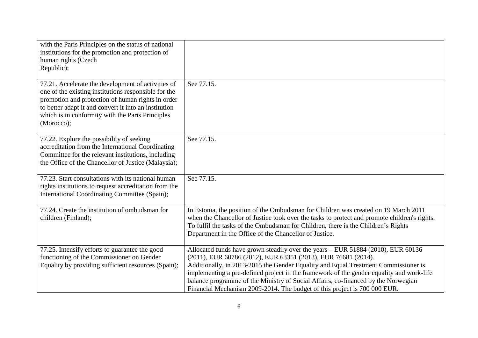| with the Paris Principles on the status of national<br>institutions for the promotion and protection of<br>human rights (Czech<br>Republic);                                                                                                                                               |                                                                                                                                                                                                                                                                                                                                                                                                                                                                                                       |
|--------------------------------------------------------------------------------------------------------------------------------------------------------------------------------------------------------------------------------------------------------------------------------------------|-------------------------------------------------------------------------------------------------------------------------------------------------------------------------------------------------------------------------------------------------------------------------------------------------------------------------------------------------------------------------------------------------------------------------------------------------------------------------------------------------------|
| 77.21. Accelerate the development of activities of<br>one of the existing institutions responsible for the<br>promotion and protection of human rights in order<br>to better adapt it and convert it into an institution<br>which is in conformity with the Paris Principles<br>(Morocco); | See 77.15.                                                                                                                                                                                                                                                                                                                                                                                                                                                                                            |
| 77.22. Explore the possibility of seeking<br>accreditation from the International Coordinating<br>Committee for the relevant institutions, including<br>the Office of the Chancellor of Justice (Malaysia);                                                                                | See 77.15.                                                                                                                                                                                                                                                                                                                                                                                                                                                                                            |
| 77.23. Start consultations with its national human<br>rights institutions to request accreditation from the<br>International Coordinating Committee (Spain);                                                                                                                               | See 77.15.                                                                                                                                                                                                                                                                                                                                                                                                                                                                                            |
| 77.24. Create the institution of ombudsman for<br>children (Finland);                                                                                                                                                                                                                      | In Estonia, the position of the Ombudsman for Children was created on 19 March 2011<br>when the Chancellor of Justice took over the tasks to protect and promote children's rights.<br>To fulfil the tasks of the Ombudsman for Children, there is the Children's Rights<br>Department in the Office of the Chancellor of Justice.                                                                                                                                                                    |
| 77.25. Intensify efforts to guarantee the good<br>functioning of the Commissioner on Gender<br>Equality by providing sufficient resources (Spain);                                                                                                                                         | Allocated funds have grown steadily over the years - EUR 51884 (2010), EUR 60136<br>(2011), EUR 60786 (2012), EUR 63351 (2013), EUR 76681 (2014).<br>Additionally, in 2013-2015 the Gender Equality and Equal Treatment Commissioner is<br>implementing a pre-defined project in the framework of the gender equality and work-life<br>balance programme of the Ministry of Social Affairs, co-financed by the Norwegian<br>Financial Mechanism 2009-2014. The budget of this project is 700 000 EUR. |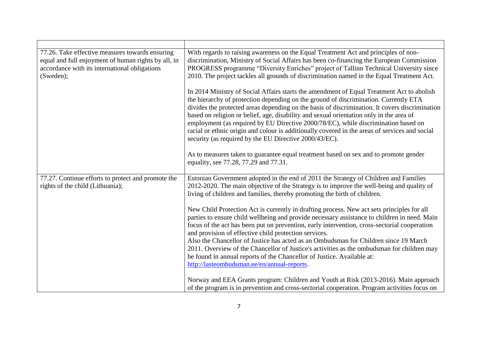| 77.26. Take effective measures towards ensuring<br>equal and full enjoyment of human rights by all, in<br>accordance with its international obligations<br>(Sweden); | With regards to raising awareness on the Equal Treatment Act and principles of non-<br>discrimination, Ministry of Social Affairs has been co-financing the European Commission<br>PROGRESS programme "Diversity Enriches" project of Tallinn Technical University since<br>2010. The project tackles all grounds of discrimination named in the Equal Treatment Act.                                                                                                                                                                                                                                                            |
|----------------------------------------------------------------------------------------------------------------------------------------------------------------------|----------------------------------------------------------------------------------------------------------------------------------------------------------------------------------------------------------------------------------------------------------------------------------------------------------------------------------------------------------------------------------------------------------------------------------------------------------------------------------------------------------------------------------------------------------------------------------------------------------------------------------|
|                                                                                                                                                                      | In 2014 Ministry of Social Affairs starts the amendment of Equal Treatment Act to abolish<br>the hierarchy of protection depending on the ground of discrimination. Currently ETA<br>divides the protected areas depending on the basis of discrimination. It covers discrimination<br>based on religion or belief, age, disability and sexual orientation only in the area of<br>employment (as required by EU Directive 2000/78/EC), while discrimination based on<br>racial or ethnic origin and colour is additionally covered in the areas of services and social<br>security (as required by the EU Directive 2000/43/EC). |
|                                                                                                                                                                      | As to measures taken to guarantee equal treatment based on sex and to promote gender<br>equality, see 77.28, 77.29 and 77.31.                                                                                                                                                                                                                                                                                                                                                                                                                                                                                                    |
| 77.27. Continue efforts to protect and promote the<br>rights of the child (Lithuania);                                                                               | Estonian Government adopted in the end of 2011 the Strategy of Children and Families<br>2012-2020. The main objective of the Strategy is to improve the well-being and quality of<br>living of children and families, thereby promoting the birth of children.                                                                                                                                                                                                                                                                                                                                                                   |
|                                                                                                                                                                      | New Child Protection Act is currently in drafting process. New act sets principles for all<br>parties to ensure child wellbeing and provide necessary assistance to children in need. Main<br>focus of the act has been put on prevention, early intervention, cross-sectorial cooperation<br>and provision of effective child protection services.                                                                                                                                                                                                                                                                              |
|                                                                                                                                                                      | Also the Chancellor of Justice has acted as an Ombudsman for Children since 19 March<br>2011. Overview of the Chancellor of Justice's activities as the ombudsman for children may<br>be found in annual reports of the Chancellor of Justice. Available at:<br>http://lasteombudsman.ee/en/annual-reports.                                                                                                                                                                                                                                                                                                                      |
|                                                                                                                                                                      | Norway and EEA Grants program: Children and Youth at Risk (2013-2016). Main approach<br>of the program is in prevention and cross-sectorial cooperation. Program activities focus on                                                                                                                                                                                                                                                                                                                                                                                                                                             |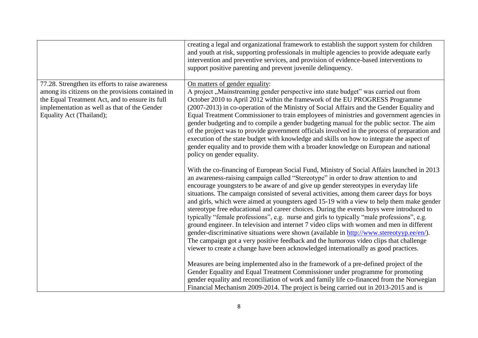|                                                                                                                                                                                                                                      | creating a legal and organizational framework to establish the support system for children<br>and youth at risk, supporting professionals in multiple agencies to provide adequate early<br>intervention and preventive services, and provision of evidence-based interventions to<br>support positive parenting and prevent juvenile delinquency.                                                                                                                                                                                                                                                                                                                                                                                                                                                                                                                                                                                                                                                                                     |
|--------------------------------------------------------------------------------------------------------------------------------------------------------------------------------------------------------------------------------------|----------------------------------------------------------------------------------------------------------------------------------------------------------------------------------------------------------------------------------------------------------------------------------------------------------------------------------------------------------------------------------------------------------------------------------------------------------------------------------------------------------------------------------------------------------------------------------------------------------------------------------------------------------------------------------------------------------------------------------------------------------------------------------------------------------------------------------------------------------------------------------------------------------------------------------------------------------------------------------------------------------------------------------------|
| 77.28. Strengthen its efforts to raise awareness<br>among its citizens on the provisions contained in<br>the Equal Treatment Act, and to ensure its full<br>implementation as well as that of the Gender<br>Equality Act (Thailand); | On matters of gender equality:<br>A project "Mainstreaming gender perspective into state budget" was carried out from<br>October 2010 to April 2012 within the framework of the EU PROGRESS Programme<br>(2007-2013) in co-operation of the Ministry of Social Affairs and the Gender Equality and<br>Equal Treatment Commissioner to train employees of ministries and government agencies in<br>gender budgeting and to compile a gender budgeting manual for the public sector. The aim<br>of the project was to provide government officials involved in the process of preparation and<br>execution of the state budget with knowledge and skills on how to integrate the aspect of<br>gender equality and to provide them with a broader knowledge on European and national<br>policy on gender equality.                                                                                                                                                                                                                        |
|                                                                                                                                                                                                                                      | With the co-financing of European Social Fund, Ministry of Social Affairs launched in 2013<br>an awareness-raising campaign called "Stereotype" in order to draw attention to and<br>encourage youngsters to be aware of and give up gender stereotypes in everyday life<br>situations. The campaign consisted of several activities, among them career days for boys<br>and girls, which were aimed at youngsters aged 15-19 with a view to help them make gender<br>stereotype free educational and career choices. During the events boys were introduced to<br>typically "female professions", e.g. nurse and girls to typically "male professions", e.g.<br>ground engineer. In television and internet 7 video clips with women and men in different<br>gender-discriminative situations were shown (available in http://www.stereotyyp.ee/en/).<br>The campaign got a very positive feedback and the humorous video clips that challenge<br>viewer to create a change have been acknowledged internationally as good practices. |
|                                                                                                                                                                                                                                      | Measures are being implemented also in the framework of a pre-defined project of the<br>Gender Equality and Equal Treatment Commissioner under programme for promoting<br>gender equality and reconciliation of work and family life co-financed from the Norwegian<br>Financial Mechanism 2009-2014. The project is being carried out in 2013-2015 and is                                                                                                                                                                                                                                                                                                                                                                                                                                                                                                                                                                                                                                                                             |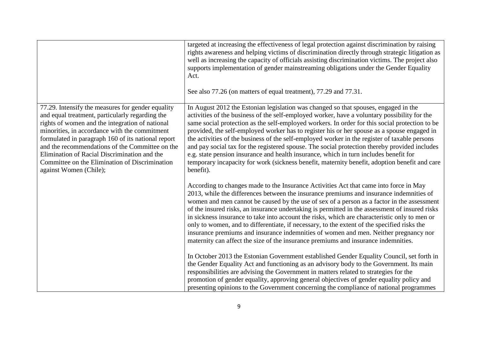|                                                                                                                                                                                                                                                                                                                                                                                                                                               | targeted at increasing the effectiveness of legal protection against discrimination by raising<br>rights awareness and helping victims of discrimination directly through strategic litigation as<br>well as increasing the capacity of officials assisting discrimination victims. The project also<br>supports implementation of gender mainstreaming obligations under the Gender Equality<br>Act.<br>See also 77.26 (on matters of equal treatment), 77.29 and 77.31.                                                                                                                                                                                                                                                                                                                     |
|-----------------------------------------------------------------------------------------------------------------------------------------------------------------------------------------------------------------------------------------------------------------------------------------------------------------------------------------------------------------------------------------------------------------------------------------------|-----------------------------------------------------------------------------------------------------------------------------------------------------------------------------------------------------------------------------------------------------------------------------------------------------------------------------------------------------------------------------------------------------------------------------------------------------------------------------------------------------------------------------------------------------------------------------------------------------------------------------------------------------------------------------------------------------------------------------------------------------------------------------------------------|
| 77.29. Intensify the measures for gender equality<br>and equal treatment, particularly regarding the<br>rights of women and the integration of national<br>minorities, in accordance with the commitment<br>formulated in paragraph 160 of its national report<br>and the recommendations of the Committee on the<br>Elimination of Racial Discrimination and the<br>Committee on the Elimination of Discrimination<br>against Women (Chile); | In August 2012 the Estonian legislation was changed so that spouses, engaged in the<br>activities of the business of the self-employed worker, have a voluntary possibility for the<br>same social protection as the self-employed workers. In order for this social protection to be<br>provided, the self-employed worker has to register his or her spouse as a spouse engaged in<br>the activities of the business of the self-employed worker in the register of taxable persons<br>and pay social tax for the registered spouse. The social protection thereby provided includes<br>e.g. state pension insurance and health insurance, which in turn includes benefit for<br>temporary incapacity for work (sickness benefit, maternity benefit, adoption benefit and care<br>benefit). |
|                                                                                                                                                                                                                                                                                                                                                                                                                                               | According to changes made to the Insurance Activities Act that came into force in May<br>2013, while the differences between the insurance premiums and insurance indemnities of<br>women and men cannot be caused by the use of sex of a person as a factor in the assessment<br>of the insured risks, an insurance undertaking is permitted in the assessment of insured risks<br>in sickness insurance to take into account the risks, which are characteristic only to men or<br>only to women, and to differentiate, if necessary, to the extent of the specified risks the<br>insurance premiums and insurance indemnities of women and men. Neither pregnancy nor<br>maternity can affect the size of the insurance premiums and insurance indemnities.                                |
|                                                                                                                                                                                                                                                                                                                                                                                                                                               | In October 2013 the Estonian Government established Gender Equality Council, set forth in<br>the Gender Equality Act and functioning as an advisory body to the Government. Its main<br>responsibilities are advising the Government in matters related to strategies for the<br>promotion of gender equality, approving general objectives of gender equality policy and<br>presenting opinions to the Government concerning the compliance of national programmes                                                                                                                                                                                                                                                                                                                           |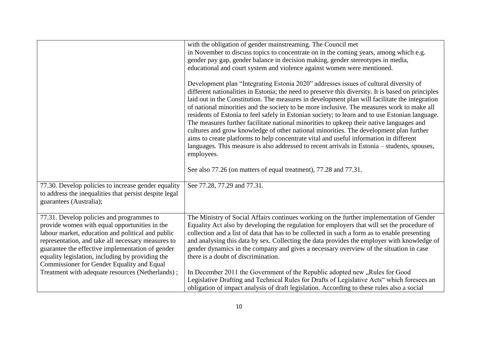|                                                                                                                                                                                                                                                                                                                                                                                                                 | with the obligation of gender mainstreaming. The Council met<br>in November to discuss topics to concentrate on in the coming years, among which e.g.<br>gender pay gap, gender balance in decision making, gender stereotypes in media,<br>educational and court system and violence against women were mentioned.<br>Development plan "Integrating Estonia 2020" addresses issues of cultural diversity of<br>different nationalities in Estonia; the need to preserve this diversity. It is based on principles<br>laid out in the Constitution. The measures in development plan will facilitate the integration<br>of national minorities and the society to be more inclusive. The measures work to make all<br>residents of Estonia to feel safely in Estonian society; to learn and to use Estonian language.<br>The measures further facilitate national minorities to upkeep their native languages and<br>cultures and grow knowledge of other national minorities. The development plan further<br>aims to create platforms to help concentrate vital and useful information in different<br>languages. This measure is also addressed to recent arrivals in Estonia – students, spouses,<br>employees. |
|-----------------------------------------------------------------------------------------------------------------------------------------------------------------------------------------------------------------------------------------------------------------------------------------------------------------------------------------------------------------------------------------------------------------|---------------------------------------------------------------------------------------------------------------------------------------------------------------------------------------------------------------------------------------------------------------------------------------------------------------------------------------------------------------------------------------------------------------------------------------------------------------------------------------------------------------------------------------------------------------------------------------------------------------------------------------------------------------------------------------------------------------------------------------------------------------------------------------------------------------------------------------------------------------------------------------------------------------------------------------------------------------------------------------------------------------------------------------------------------------------------------------------------------------------------------------------------------------------------------------------------------------------|
|                                                                                                                                                                                                                                                                                                                                                                                                                 | See also 77.26 (on matters of equal treatment), 77.28 and 77.31.                                                                                                                                                                                                                                                                                                                                                                                                                                                                                                                                                                                                                                                                                                                                                                                                                                                                                                                                                                                                                                                                                                                                                    |
| 77.30. Develop policies to increase gender equality<br>to address the inequalities that persist despite legal<br>guarantees (Australia);                                                                                                                                                                                                                                                                        | See 77.28, 77.29 and 77.31.                                                                                                                                                                                                                                                                                                                                                                                                                                                                                                                                                                                                                                                                                                                                                                                                                                                                                                                                                                                                                                                                                                                                                                                         |
| 77.31. Develop policies and programmes to<br>provide women with equal opportunities in the<br>labour market, education and political and public<br>representation, and take all necessary measures to<br>guarantee the effective implementation of gender<br>equality legislation, including by providing the<br>Commissioner for Gender Equality and Equal<br>Treatment with adequate resources (Netherlands); | The Ministry of Social Affairs continues working on the further implementation of Gender<br>Equality Act also by developing the regulation for employers that will set the procedure of<br>collection and a list of data that has to be collected in such a form as to enable presenting<br>and analysing this data by sex. Collecting the data provides the employer with knowledge of<br>gender dynamics in the company and gives a necessary overview of the situation in case<br>there is a doubt of discrimination.<br>In December 2011 the Government of the Republic adopted new "Rules for Good                                                                                                                                                                                                                                                                                                                                                                                                                                                                                                                                                                                                             |
|                                                                                                                                                                                                                                                                                                                                                                                                                 | Legislative Drafting and Technical Rules for Drafts of Legislative Acts" which foresees an<br>obligation of impact analysis of draft legislation. According to these rules also a social                                                                                                                                                                                                                                                                                                                                                                                                                                                                                                                                                                                                                                                                                                                                                                                                                                                                                                                                                                                                                            |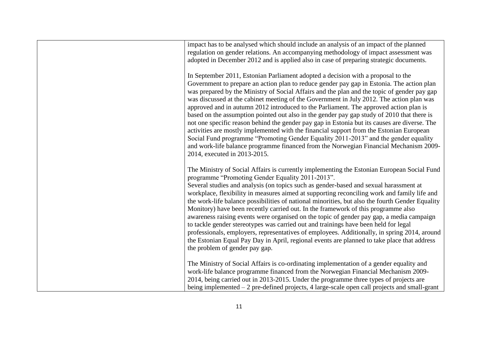| impact has to be analysed which should include an analysis of an impact of the planned<br>regulation on gender relations. An accompanying methodology of impact assessment was<br>adopted in December 2012 and is applied also in case of preparing strategic documents.                                                                                                                                                                                                                                                                                                                                                                                                                                                                                                                                                                                                                                                                                                   |
|----------------------------------------------------------------------------------------------------------------------------------------------------------------------------------------------------------------------------------------------------------------------------------------------------------------------------------------------------------------------------------------------------------------------------------------------------------------------------------------------------------------------------------------------------------------------------------------------------------------------------------------------------------------------------------------------------------------------------------------------------------------------------------------------------------------------------------------------------------------------------------------------------------------------------------------------------------------------------|
| In September 2011, Estonian Parliament adopted a decision with a proposal to the<br>Government to prepare an action plan to reduce gender pay gap in Estonia. The action plan<br>was prepared by the Ministry of Social Affairs and the plan and the topic of gender pay gap<br>was discussed at the cabinet meeting of the Government in July 2012. The action plan was<br>approved and in autumn 2012 introduced to the Parliament. The approved action plan is<br>based on the assumption pointed out also in the gender pay gap study of 2010 that there is<br>not one specific reason behind the gender pay gap in Estonia but its causes are diverse. The<br>activities are mostly implemented with the financial support from the Estonian European<br>Social Fund programme "Promoting Gender Equality 2011-2013" and the gender equality<br>and work-life balance programme financed from the Norwegian Financial Mechanism 2009-<br>2014, executed in 2013-2015. |
| The Ministry of Social Affairs is currently implementing the Estonian European Social Fund<br>programme "Promoting Gender Equality 2011-2013".<br>Several studies and analysis (on topics such as gender-based and sexual harassment at<br>workplace, flexibility in measures aimed at supporting reconciling work and family life and<br>the work-life balance possibilities of national minorities, but also the fourth Gender Equality<br>Monitory) have been recently carried out. In the framework of this programme also<br>awareness raising events were organised on the topic of gender pay gap, a media campaign<br>to tackle gender stereotypes was carried out and trainings have been held for legal<br>professionals, employers, representatives of employees. Additionally, in spring 2014, around<br>the Estonian Equal Pay Day in April, regional events are planned to take place that address<br>the problem of gender pay gap.                         |
| The Ministry of Social Affairs is co-ordinating implementation of a gender equality and<br>work-life balance programme financed from the Norwegian Financial Mechanism 2009-<br>2014, being carried out in 2013-2015. Under the programme three types of projects are<br>being implemented $-2$ pre-defined projects, 4 large-scale open call projects and small-grant                                                                                                                                                                                                                                                                                                                                                                                                                                                                                                                                                                                                     |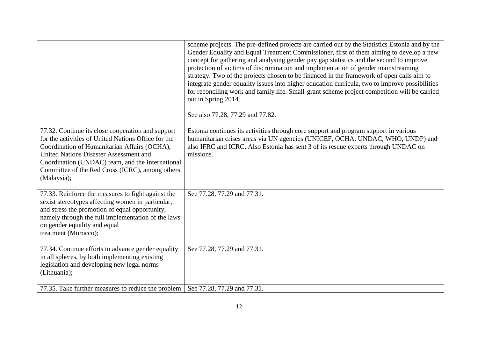| protection of victims of discrimination and implementation of gender mainstreaming<br>strategy. Two of the projects chosen to be financed in the framework of open calls aim to<br>integrate gender equality issues into higher education curricula, two to improve possibilities<br>for reconciling work and family life. Small-grant scheme project competition will be carried<br>out in Spring 2014.<br>See also 77.28, 77.29 and 77.82. |
|----------------------------------------------------------------------------------------------------------------------------------------------------------------------------------------------------------------------------------------------------------------------------------------------------------------------------------------------------------------------------------------------------------------------------------------------|
| Estonia continues its activities through core support and program support in various<br>humanitarian crises areas via UN agencies (UNICEF, OCHA, UNDAC, WHO, UNDP) and<br>also IFRC and ICRC. Also Estonia has sent 3 of its rescue experts through UNDAC on<br>missions.                                                                                                                                                                    |
| See 77.28, 77.29 and 77.31.                                                                                                                                                                                                                                                                                                                                                                                                                  |
| See 77.28, 77.29 and 77.31.<br>See 77.28, 77.29 and 77.31.                                                                                                                                                                                                                                                                                                                                                                                   |
|                                                                                                                                                                                                                                                                                                                                                                                                                                              |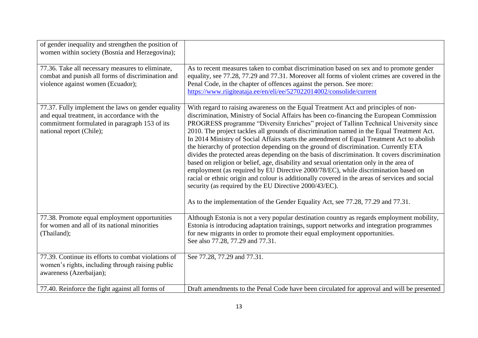| of gender inequality and strengthen the position of<br>women within society (Bosnia and Herzegovina);                                                                          |                                                                                                                                                                                                                                                                                                                                                                                                                                                                                                                                                                                                                                                                                                                                                                                                                                                                                                                                                                                                                                                                                              |
|--------------------------------------------------------------------------------------------------------------------------------------------------------------------------------|----------------------------------------------------------------------------------------------------------------------------------------------------------------------------------------------------------------------------------------------------------------------------------------------------------------------------------------------------------------------------------------------------------------------------------------------------------------------------------------------------------------------------------------------------------------------------------------------------------------------------------------------------------------------------------------------------------------------------------------------------------------------------------------------------------------------------------------------------------------------------------------------------------------------------------------------------------------------------------------------------------------------------------------------------------------------------------------------|
| 77.36. Take all necessary measures to eliminate,<br>combat and punish all forms of discrimination and<br>violence against women (Ecuador);                                     | As to recent measures taken to combat discrimination based on sex and to promote gender<br>equality, see 77.28, 77.29 and 77.31. Moreover all forms of violent crimes are covered in the<br>Penal Code, in the chapter of offences against the person. See more:<br>https://www.riigiteataja.ee/en/eli/ee/527022014002/consolide/current                                                                                                                                                                                                                                                                                                                                                                                                                                                                                                                                                                                                                                                                                                                                                     |
| 77.37. Fully implement the laws on gender equality<br>and equal treatment, in accordance with the<br>commitment formulated in paragraph 153 of its<br>national report (Chile); | With regard to raising awareness on the Equal Treatment Act and principles of non-<br>discrimination, Ministry of Social Affairs has been co-financing the European Commission<br>PROGRESS programme "Diversity Enriches" project of Tallinn Technical University since<br>2010. The project tackles all grounds of discrimination named in the Equal Treatment Act.<br>In 2014 Ministry of Social Affairs starts the amendment of Equal Treatment Act to abolish<br>the hierarchy of protection depending on the ground of discrimination. Currently ETA<br>divides the protected areas depending on the basis of discrimination. It covers discrimination<br>based on religion or belief, age, disability and sexual orientation only in the area of<br>employment (as required by EU Directive 2000/78/EC), while discrimination based on<br>racial or ethnic origin and colour is additionally covered in the areas of services and social<br>security (as required by the EU Directive 2000/43/EC).<br>As to the implementation of the Gender Equality Act, see 77.28, 77.29 and 77.31. |
| 77.38. Promote equal employment opportunities<br>for women and all of its national minorities<br>(Thailand);                                                                   | Although Estonia is not a very popular destination country as regards employment mobility,<br>Estonia is introducing adaptation trainings, support networks and integration programmes<br>for new migrants in order to promote their equal employment opportunities.<br>See also 77.28, 77.29 and 77.31.                                                                                                                                                                                                                                                                                                                                                                                                                                                                                                                                                                                                                                                                                                                                                                                     |
| 77.39. Continue its efforts to combat violations of<br>women's rights, including through raising public<br>awareness (Azerbaijan);                                             | See 77.28, 77.29 and 77.31.                                                                                                                                                                                                                                                                                                                                                                                                                                                                                                                                                                                                                                                                                                                                                                                                                                                                                                                                                                                                                                                                  |
| 77.40. Reinforce the fight against all forms of                                                                                                                                | Draft amendments to the Penal Code have been circulated for approval and will be presented                                                                                                                                                                                                                                                                                                                                                                                                                                                                                                                                                                                                                                                                                                                                                                                                                                                                                                                                                                                                   |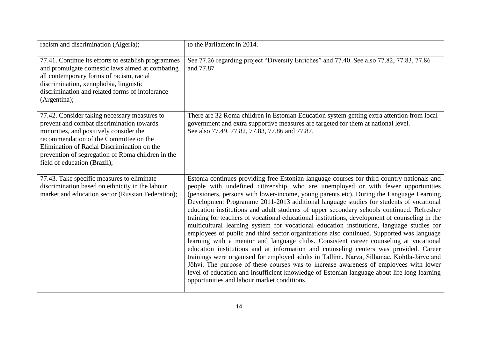| racism and discrimination (Algeria);                                                                                                                                                                                                                                                                               | to the Parliament in 2014.                                                                                                                                                                                                                                                                                                                                                                                                                                                                                                                                                                                                                                                                                                                                                                                                                                                                                                                                                                                                                                                                                                                                                                                                                                                            |
|--------------------------------------------------------------------------------------------------------------------------------------------------------------------------------------------------------------------------------------------------------------------------------------------------------------------|---------------------------------------------------------------------------------------------------------------------------------------------------------------------------------------------------------------------------------------------------------------------------------------------------------------------------------------------------------------------------------------------------------------------------------------------------------------------------------------------------------------------------------------------------------------------------------------------------------------------------------------------------------------------------------------------------------------------------------------------------------------------------------------------------------------------------------------------------------------------------------------------------------------------------------------------------------------------------------------------------------------------------------------------------------------------------------------------------------------------------------------------------------------------------------------------------------------------------------------------------------------------------------------|
| 77.41. Continue its efforts to establish programmes<br>and promulgate domestic laws aimed at combating<br>all contemporary forms of racism, racial<br>discrimination, xenophobia, linguistic<br>discrimination and related forms of intolerance<br>(Argentina);                                                    | See 77.26 regarding project "Diversity Enriches" and 77.40. See also 77.82, 77.83, 77.86<br>and 77.87                                                                                                                                                                                                                                                                                                                                                                                                                                                                                                                                                                                                                                                                                                                                                                                                                                                                                                                                                                                                                                                                                                                                                                                 |
| 77.42. Consider taking necessary measures to<br>prevent and combat discrimination towards<br>minorities, and positively consider the<br>recommendation of the Committee on the<br>Elimination of Racial Discrimination on the<br>prevention of segregation of Roma children in the<br>field of education (Brazil); | There are 32 Roma children in Estonian Education system getting extra attention from local<br>government and extra supportive measures are targeted for them at national level.<br>See also 77.49, 77.82, 77.83, 77.86 and 77.87.                                                                                                                                                                                                                                                                                                                                                                                                                                                                                                                                                                                                                                                                                                                                                                                                                                                                                                                                                                                                                                                     |
| 77.43. Take specific measures to eliminate<br>discrimination based on ethnicity in the labour<br>market and education sector (Russian Federation);                                                                                                                                                                 | Estonia continues providing free Estonian language courses for third-country nationals and<br>people with undefined citizenship, who are unemployed or with fewer opportunities<br>(pensioners, persons with lower-income, young parents etc). During the Language Learning<br>Development Programme 2011-2013 additional language studies for students of vocational<br>education institutions and adult students of upper secondary schools continued. Refresher<br>training for teachers of vocational educational institutions, development of counseling in the<br>multicultural learning system for vocational education institutions, language studies for<br>employees of public and third sector organizations also continued. Supported was language<br>learning with a mentor and language clubs. Consistent career counseling at vocational<br>education institutions and at information and counseling centers was provided. Career<br>trainings were organised for employed adults in Tallinn, Narva, Sillamäe, Kohtla-Järve and<br>Jõhvi. The purpose of these courses was to increase awareness of employees with lower<br>level of education and insufficient knowledge of Estonian language about life long learning<br>opportunities and labour market conditions. |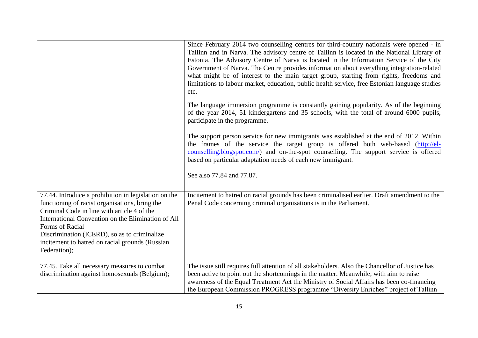| 77.44. Introduce a prohibition in legislation on the<br>functioning of racist organisations, bring the<br>Criminal Code in line with article 4 of the<br>International Convention on the Elimination of All<br>Forms of Racial<br>Discrimination (ICERD), so as to criminalize<br>incitement to hatred on racial grounds (Russian<br>Federation); | Since February 2014 two counselling centres for third-country nationals were opened - in<br>Tallinn and in Narva. The advisory centre of Tallinn is located in the National Library of<br>Estonia. The Advisory Centre of Narva is located in the Information Service of the City<br>Government of Narva. The Centre provides information about everything integration-related<br>what might be of interest to the main target group, starting from rights, freedoms and<br>limitations to labour market, education, public health service, free Estonian language studies<br>etc.<br>The language immersion programme is constantly gaining popularity. As of the beginning<br>of the year 2014, 51 kindergartens and 35 schools, with the total of around 6000 pupils,<br>participate in the programme.<br>The support person service for new immigrants was established at the end of 2012. Within<br>the frames of the service the target group is offered both web-based (http://el-<br>counselling.blogspot.com/) and on-the-spot counselling. The support service is offered<br>based on particular adaptation needs of each new immigrant.<br>See also 77.84 and 77.87.<br>Incitement to hatred on racial grounds has been criminalised earlier. Draft amendment to the<br>Penal Code concerning criminal organisations is in the Parliament. |
|---------------------------------------------------------------------------------------------------------------------------------------------------------------------------------------------------------------------------------------------------------------------------------------------------------------------------------------------------|-------------------------------------------------------------------------------------------------------------------------------------------------------------------------------------------------------------------------------------------------------------------------------------------------------------------------------------------------------------------------------------------------------------------------------------------------------------------------------------------------------------------------------------------------------------------------------------------------------------------------------------------------------------------------------------------------------------------------------------------------------------------------------------------------------------------------------------------------------------------------------------------------------------------------------------------------------------------------------------------------------------------------------------------------------------------------------------------------------------------------------------------------------------------------------------------------------------------------------------------------------------------------------------------------------------------------------------------------------|
| 77.45. Take all necessary measures to combat<br>discrimination against homosexuals (Belgium);                                                                                                                                                                                                                                                     | The issue still requires full attention of all stakeholders. Also the Chancellor of Justice has<br>been active to point out the shortcomings in the matter. Meanwhile, with aim to raise<br>awareness of the Equal Treatment Act the Ministry of Social Affairs has been co-financing<br>the European Commission PROGRESS programme "Diversity Enriches" project of Tallinn                                                                                                                                                                                                                                                                                                                                                                                                                                                                                                                                                                                                                                                                                                                                                                                                                                                                                                                                                                           |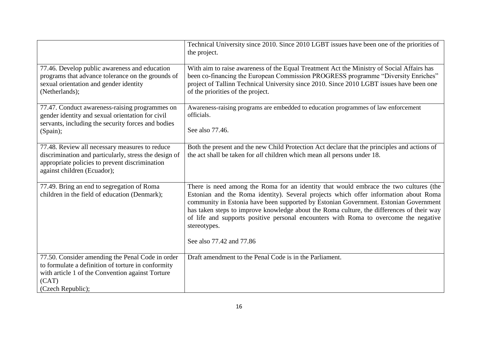|                                                                                                                                                                                          | Technical University since 2010. Since 2010 LGBT issues have been one of the priorities of<br>the project.                                                                                                                                                                                                                                                                                                                                                                                             |
|------------------------------------------------------------------------------------------------------------------------------------------------------------------------------------------|--------------------------------------------------------------------------------------------------------------------------------------------------------------------------------------------------------------------------------------------------------------------------------------------------------------------------------------------------------------------------------------------------------------------------------------------------------------------------------------------------------|
| 77.46. Develop public awareness and education<br>programs that advance tolerance on the grounds of<br>sexual orientation and gender identity<br>(Netherlands);                           | With aim to raise awareness of the Equal Treatment Act the Ministry of Social Affairs has<br>been co-financing the European Commission PROGRESS programme "Diversity Enriches"<br>project of Tallinn Technical University since 2010. Since 2010 LGBT issues have been one<br>of the priorities of the project.                                                                                                                                                                                        |
| 77.47. Conduct awareness-raising programmes on<br>gender identity and sexual orientation for civil<br>servants, including the security forces and bodies<br>(Spain);                     | Awareness-raising programs are embedded to education programmes of law enforcement<br>officials.<br>See also 77.46.                                                                                                                                                                                                                                                                                                                                                                                    |
| 77.48. Review all necessary measures to reduce<br>discrimination and particularly, stress the design of<br>appropriate policies to prevent discrimination<br>against children (Ecuador); | Both the present and the new Child Protection Act declare that the principles and actions of<br>the act shall be taken for <i>all</i> children which mean all persons under 18.                                                                                                                                                                                                                                                                                                                        |
| 77.49. Bring an end to segregation of Roma<br>children in the field of education (Denmark);                                                                                              | There is need among the Roma for an identity that would embrace the two cultures (the<br>Estonian and the Roma identity). Several projects which offer information about Roma<br>community in Estonia have been supported by Estonian Government. Estonian Government<br>has taken steps to improve knowledge about the Roma culture, the differences of their way<br>of life and supports positive personal encounters with Roma to overcome the negative<br>stereotypes.<br>See also 77.42 and 77.86 |
| 77.50. Consider amending the Penal Code in order<br>to formulate a definition of torture in conformity<br>with article 1 of the Convention against Torture<br>(CAT)<br>(Czech Republic); | Draft amendment to the Penal Code is in the Parliament.                                                                                                                                                                                                                                                                                                                                                                                                                                                |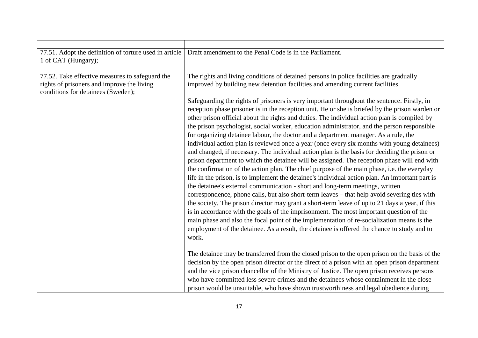| 77.51. Adopt the definition of torture used in article<br>1 of CAT (Hungary);                                                       | Draft amendment to the Penal Code is in the Parliament.                                                                                                                                                                                                                                                                                                                                                                                                                                                                                                                                                                                                                                                                                                                                                                                                                                                                                                                                                                                                                                                                                                                                                                                                                                                                                                                                                                                                                                                                                                                                                                                                                                                                                                |
|-------------------------------------------------------------------------------------------------------------------------------------|--------------------------------------------------------------------------------------------------------------------------------------------------------------------------------------------------------------------------------------------------------------------------------------------------------------------------------------------------------------------------------------------------------------------------------------------------------------------------------------------------------------------------------------------------------------------------------------------------------------------------------------------------------------------------------------------------------------------------------------------------------------------------------------------------------------------------------------------------------------------------------------------------------------------------------------------------------------------------------------------------------------------------------------------------------------------------------------------------------------------------------------------------------------------------------------------------------------------------------------------------------------------------------------------------------------------------------------------------------------------------------------------------------------------------------------------------------------------------------------------------------------------------------------------------------------------------------------------------------------------------------------------------------------------------------------------------------------------------------------------------------|
| 77.52. Take effective measures to safeguard the<br>rights of prisoners and improve the living<br>conditions for detainees (Sweden); | The rights and living conditions of detained persons in police facilities are gradually<br>improved by building new detention facilities and amending current facilities.<br>Safeguarding the rights of prisoners is very important throughout the sentence. Firstly, in<br>reception phase prisoner is in the reception unit. He or she is briefed by the prison warden or<br>other prison official about the rights and duties. The individual action plan is compiled by<br>the prison psychologist, social worker, education administrator, and the person responsible<br>for organizing detainee labour, the doctor and a department manager. As a rule, the<br>individual action plan is reviewed once a year (once every six months with young detainees)<br>and changed, if necessary. The individual action plan is the basis for deciding the prison or<br>prison department to which the detainee will be assigned. The reception phase will end with<br>the confirmation of the action plan. The chief purpose of the main phase, i.e. the everyday<br>life in the prison, is to implement the detainee's individual action plan. An important part is<br>the detainee's external communication - short and long-term meetings, written<br>correspondence, phone calls, but also short-term leaves - that help avoid severing ties with<br>the society. The prison director may grant a short-term leave of up to 21 days a year, if this<br>is in accordance with the goals of the imprisonment. The most important question of the<br>main phase and also the focal point of the implementation of re-socialization means is the<br>employment of the detainee. As a result, the detainee is offered the chance to study and to<br>work. |
|                                                                                                                                     | The detainee may be transferred from the closed prison to the open prison on the basis of the<br>decision by the open prison director or the direct of a prison with an open prison department<br>and the vice prison chancellor of the Ministry of Justice. The open prison receives persons<br>who have committed less severe crimes and the detainees whose containment in the close<br>prison would be unsuitable, who have shown trustworthiness and legal obedience during                                                                                                                                                                                                                                                                                                                                                                                                                                                                                                                                                                                                                                                                                                                                                                                                                                                                                                                                                                                                                                                                                                                                                                                                                                                                       |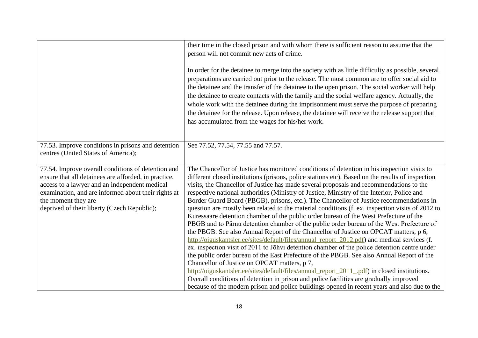|                                                                                                                                                                                                                                                                                          | their time in the closed prison and with whom there is sufficient reason to assume that the<br>person will not commit new acts of crime.                                                                                                                                                                                                                                                                                                                                                                                                                                                                                                                                                                                                                                                                                                                                                                                                                                                                                                                                                                                                                                                                                                                                                                                                                                                                                                                                                                    |
|------------------------------------------------------------------------------------------------------------------------------------------------------------------------------------------------------------------------------------------------------------------------------------------|-------------------------------------------------------------------------------------------------------------------------------------------------------------------------------------------------------------------------------------------------------------------------------------------------------------------------------------------------------------------------------------------------------------------------------------------------------------------------------------------------------------------------------------------------------------------------------------------------------------------------------------------------------------------------------------------------------------------------------------------------------------------------------------------------------------------------------------------------------------------------------------------------------------------------------------------------------------------------------------------------------------------------------------------------------------------------------------------------------------------------------------------------------------------------------------------------------------------------------------------------------------------------------------------------------------------------------------------------------------------------------------------------------------------------------------------------------------------------------------------------------------|
|                                                                                                                                                                                                                                                                                          | In order for the detainee to merge into the society with as little difficulty as possible, several<br>preparations are carried out prior to the release. The most common are to offer social aid to<br>the detainee and the transfer of the detainee to the open prison. The social worker will help<br>the detainee to create contacts with the family and the social welfare agency. Actually, the<br>whole work with the detainee during the imprisonment must serve the purpose of preparing<br>the detainee for the release. Upon release, the detainee will receive the release support that<br>has accumulated from the wages for his/her work.                                                                                                                                                                                                                                                                                                                                                                                                                                                                                                                                                                                                                                                                                                                                                                                                                                                      |
| 77.53. Improve conditions in prisons and detention<br>centres (United States of America);                                                                                                                                                                                                | See 77.52, 77.54, 77.55 and 77.57.                                                                                                                                                                                                                                                                                                                                                                                                                                                                                                                                                                                                                                                                                                                                                                                                                                                                                                                                                                                                                                                                                                                                                                                                                                                                                                                                                                                                                                                                          |
| 77.54. Improve overall conditions of detention and<br>ensure that all detainees are afforded, in practice,<br>access to a lawyer and an independent medical<br>examination, and are informed about their rights at<br>the moment they are<br>deprived of their liberty (Czech Republic); | The Chancellor of Justice has monitored conditions of detention in his inspection visits to<br>different closed institutions (prisons, police stations etc). Based on the results of inspection<br>visits, the Chancellor of Justice has made several proposals and recommendations to the<br>respective national authorities (Ministry of Justice, Ministry of the Interior, Police and<br>Border Guard Board (PBGB), prisons, etc.). The Chancellor of Justice recommendations in<br>question are mostly been related to the material conditions (f. ex. inspection visits of 2012 to<br>Kuressaare detention chamber of the public order bureau of the West Prefecture of the<br>PBGB and to Pärnu detention chamber of the public order bureau of the West Prefecture of<br>the PBGB. See also Annual Report of the Chancellor of Justice on OPCAT matters, p 6,<br>http://oiguskantsler.ee/sites/default/files/annual_report_2012.pdf) and medical services (f.<br>ex. inspection visit of 2011 to Jõhvi detention chamber of the police detention centre under<br>the public order bureau of the East Prefecture of the PBGB. See also Annual Report of the<br>Chancellor of Justice on OPCAT matters, p 7,<br>http://oiguskantsler.ee/sites/default/files/annual_report_2011_.pdf) in closed institutions.<br>Overall conditions of detention in prison and police facilities are gradually improved<br>because of the modern prison and police buildings opened in recent years and also due to the |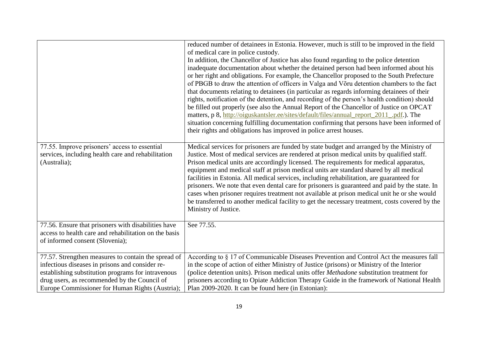|                                                                                                                                                                                                                                                                 | reduced number of detainees in Estonia. However, much is still to be improved in the field<br>of medical care in police custody.<br>In addition, the Chancellor of Justice has also found regarding to the police detention<br>inadequate documentation about whether the detained person had been informed about his<br>or her right and obligations. For example, the Chancellor proposed to the South Prefecture<br>of PBGB to draw the attention of officers in Valga and Võru detention chambers to the fact<br>that documents relating to detainees (in particular as regards informing detainees of their<br>rights, notification of the detention, and recording of the person's health condition) should<br>be filled out properly (see also the Annual Report of the Chancellor of Justice on OPCAT<br>matters, p 8, http://oiguskantsler.ee/sites/default/files/annual_report_2011_.pdf.). The<br>situation concerning fulfilling documentation confirming that persons have been informed of<br>their rights and obligations has improved in police arrest houses. |
|-----------------------------------------------------------------------------------------------------------------------------------------------------------------------------------------------------------------------------------------------------------------|--------------------------------------------------------------------------------------------------------------------------------------------------------------------------------------------------------------------------------------------------------------------------------------------------------------------------------------------------------------------------------------------------------------------------------------------------------------------------------------------------------------------------------------------------------------------------------------------------------------------------------------------------------------------------------------------------------------------------------------------------------------------------------------------------------------------------------------------------------------------------------------------------------------------------------------------------------------------------------------------------------------------------------------------------------------------------------|
| 77.55. Improve prisoners' access to essential<br>services, including health care and rehabilitation<br>(Australia);                                                                                                                                             | Medical services for prisoners are funded by state budget and arranged by the Ministry of<br>Justice. Most of medical services are rendered at prison medical units by qualified staff.<br>Prison medical units are accordingly licensed. The requirements for medical apparatus,<br>equipment and medical staff at prison medical units are standard shared by all medical<br>facilities in Estonia. All medical services, including rehabilitation, are guaranteed for<br>prisoners. We note that even dental care for prisoners is guaranteed and paid by the state. In<br>cases when prisoner requires treatment not available at prison medical unit he or she would<br>be transferred to another medical facility to get the necessary treatment, costs covered by the<br>Ministry of Justice.                                                                                                                                                                                                                                                                           |
| 77.56. Ensure that prisoners with disabilities have<br>access to health care and rehabilitation on the basis<br>of informed consent (Slovenia);                                                                                                                 | See 77.55.                                                                                                                                                                                                                                                                                                                                                                                                                                                                                                                                                                                                                                                                                                                                                                                                                                                                                                                                                                                                                                                                     |
| 77.57. Strengthen measures to contain the spread of<br>infectious diseases in prisons and consider re-<br>establishing substitution programs for intravenous<br>drug users, as recommended by the Council of<br>Europe Commissioner for Human Rights (Austria); | According to $\frac{1}{8}$ 17 of Communicable Diseases Prevention and Control Act the measures fall<br>in the scope of action of either Ministry of Justice (prisons) or Ministry of the Interior<br>(police detention units). Prison medical units offer Methadone substitution treatment for<br>prisoners according to Opiate Addiction Therapy Guide in the framework of National Health<br>Plan 2009-2020. It can be found here (in Estonian):                                                                                                                                                                                                                                                                                                                                                                                                                                                                                                                                                                                                                             |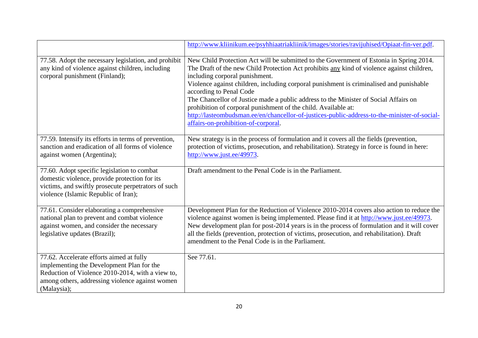|                                                                                                                                                                                                             | http://www.kliinikum.ee/psyhhiaatriakliinik/images/stories/ravijuhised/Opiaat-fin-ver.pdf.                                                                                                                                                                                                                                                                                                                                                                                                                                                                                                                                                     |
|-------------------------------------------------------------------------------------------------------------------------------------------------------------------------------------------------------------|------------------------------------------------------------------------------------------------------------------------------------------------------------------------------------------------------------------------------------------------------------------------------------------------------------------------------------------------------------------------------------------------------------------------------------------------------------------------------------------------------------------------------------------------------------------------------------------------------------------------------------------------|
| 77.58. Adopt the necessary legislation, and prohibit<br>any kind of violence against children, including<br>corporal punishment (Finland);                                                                  | New Child Protection Act will be submitted to the Government of Estonia in Spring 2014.<br>The Draft of the new Child Protection Act prohibits any kind of violence against children,<br>including corporal punishment.<br>Violence against children, including corporal punishment is criminalised and punishable<br>according to Penal Code<br>The Chancellor of Justice made a public address to the Minister of Social Affairs on<br>prohibition of corporal punishment of the child. Available at:<br>http://lasteombudsman.ee/en/chancellor-of-justices-public-address-to-the-minister-of-social-<br>affairs-on-prohibition-of-corporal. |
| 77.59. Intensify its efforts in terms of prevention,<br>sanction and eradication of all forms of violence<br>against women (Argentina);                                                                     | New strategy is in the process of formulation and it covers all the fields (prevention,<br>protection of victims, prosecution, and rehabilitation). Strategy in force is found in here:<br>http://www.just.ee/49973.                                                                                                                                                                                                                                                                                                                                                                                                                           |
| 77.60. Adopt specific legislation to combat<br>domestic violence, provide protection for its<br>victims, and swiftly prosecute perpetrators of such<br>violence (Islamic Republic of Iran);                 | Draft amendment to the Penal Code is in the Parliament.                                                                                                                                                                                                                                                                                                                                                                                                                                                                                                                                                                                        |
| 77.61. Consider elaborating a comprehensive<br>national plan to prevent and combat violence<br>against women, and consider the necessary<br>legislative updates (Brazil);                                   | Development Plan for the Reduction of Violence 2010-2014 covers also action to reduce the<br>violence against women is being implemented. Please find it at http://www.just.ee/49973.<br>New development plan for post-2014 years is in the process of formulation and it will cover<br>all the fields (prevention, protection of victims, prosecution, and rehabilitation). Draft<br>amendment to the Penal Code is in the Parliament.                                                                                                                                                                                                        |
| 77.62. Accelerate efforts aimed at fully<br>implementing the Development Plan for the<br>Reduction of Violence 2010-2014, with a view to,<br>among others, addressing violence against women<br>(Malaysia); | See 77.61.                                                                                                                                                                                                                                                                                                                                                                                                                                                                                                                                                                                                                                     |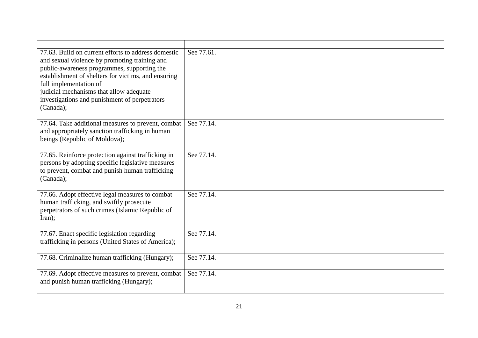| 77.63. Build on current efforts to address domestic<br>and sexual violence by promoting training and<br>public-awareness programmes, supporting the<br>establishment of shelters for victims, and ensuring<br>full implementation of<br>judicial mechanisms that allow adequate<br>investigations and punishment of perpetrators<br>(Canada); | See 77.61. |
|-----------------------------------------------------------------------------------------------------------------------------------------------------------------------------------------------------------------------------------------------------------------------------------------------------------------------------------------------|------------|
| 77.64. Take additional measures to prevent, combat<br>and appropriately sanction trafficking in human<br>beings (Republic of Moldova);                                                                                                                                                                                                        | See 77.14. |
| 77.65. Reinforce protection against trafficking in<br>persons by adopting specific legislative measures<br>to prevent, combat and punish human trafficking<br>(Canada);                                                                                                                                                                       | See 77.14. |
| 77.66. Adopt effective legal measures to combat<br>human trafficking, and swiftly prosecute<br>perpetrators of such crimes (Islamic Republic of<br>Iran);                                                                                                                                                                                     | See 77.14. |
| 77.67. Enact specific legislation regarding<br>trafficking in persons (United States of America);                                                                                                                                                                                                                                             | See 77.14. |
| 77.68. Criminalize human trafficking (Hungary);                                                                                                                                                                                                                                                                                               | See 77.14. |
| 77.69. Adopt effective measures to prevent, combat<br>and punish human trafficking (Hungary);                                                                                                                                                                                                                                                 | See 77.14. |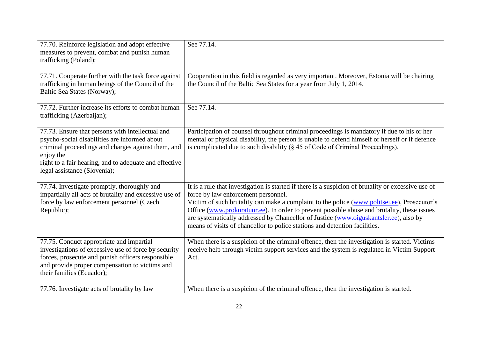| 77.70. Reinforce legislation and adopt effective<br>measures to prevent, combat and punish human<br>trafficking (Poland);                                                                                                                                      | See 77.14.                                                                                                                                                                                                                                                                                                                                                                                                                                                                                                      |
|----------------------------------------------------------------------------------------------------------------------------------------------------------------------------------------------------------------------------------------------------------------|-----------------------------------------------------------------------------------------------------------------------------------------------------------------------------------------------------------------------------------------------------------------------------------------------------------------------------------------------------------------------------------------------------------------------------------------------------------------------------------------------------------------|
| 77.71. Cooperate further with the task force against<br>trafficking in human beings of the Council of the<br>Baltic Sea States (Norway);                                                                                                                       | Cooperation in this field is regarded as very important. Moreover, Estonia will be chairing<br>the Council of the Baltic Sea States for a year from July 1, 2014.                                                                                                                                                                                                                                                                                                                                               |
| 77.72. Further increase its efforts to combat human<br>trafficking (Azerbaijan);                                                                                                                                                                               | See 77.14.                                                                                                                                                                                                                                                                                                                                                                                                                                                                                                      |
| 77.73. Ensure that persons with intellectual and<br>psycho-social disabilities are informed about<br>criminal proceedings and charges against them, and<br>enjoy the<br>right to a fair hearing, and to adequate and effective<br>legal assistance (Slovenia); | Participation of counsel throughout criminal proceedings is mandatory if due to his or her<br>mental or physical disability, the person is unable to defend himself or herself or if defence<br>is complicated due to such disability ( $\S$ 45 of Code of Criminal Proceedings).                                                                                                                                                                                                                               |
| 77.74. Investigate promptly, thoroughly and<br>impartially all acts of brutality and excessive use of<br>force by law enforcement personnel (Czech<br>Republic);                                                                                               | It is a rule that investigation is started if there is a suspicion of brutality or excessive use of<br>force by law enforcement personnel.<br>Victim of such brutality can make a complaint to the police (www.politsei.ee), Prosecutor's<br>Office (www.prokuratuur.ee). In order to prevent possible abuse and brutality, these issues<br>are systematically addressed by Chancellor of Justice (www.oiguskantsler.ee), also by<br>means of visits of chancellor to police stations and detention facilities. |
| 77.75. Conduct appropriate and impartial<br>investigations of excessive use of force by security<br>forces, prosecute and punish officers responsible,<br>and provide proper compensation to victims and<br>their families (Ecuador);                          | When there is a suspicion of the criminal offence, then the investigation is started. Victims<br>receive help through victim support services and the system is regulated in Victim Support<br>Act.                                                                                                                                                                                                                                                                                                             |
| 77.76. Investigate acts of brutality by law                                                                                                                                                                                                                    | When there is a suspicion of the criminal offence, then the investigation is started.                                                                                                                                                                                                                                                                                                                                                                                                                           |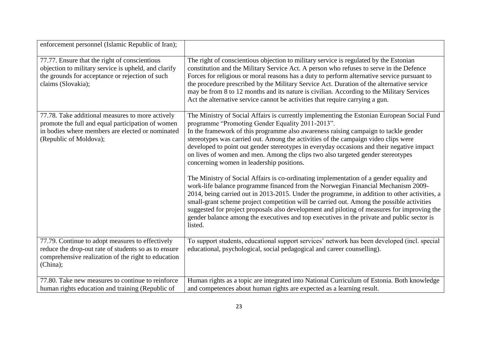| enforcement personnel (Islamic Republic of Iran);                                                                                                                                   |                                                                                                                                                                                                                                                                                                                                                                                                                                                                                                                                                                                                                                                                                                                                                                                                                                                                                                                                                                                                                                                                                                                                                |
|-------------------------------------------------------------------------------------------------------------------------------------------------------------------------------------|------------------------------------------------------------------------------------------------------------------------------------------------------------------------------------------------------------------------------------------------------------------------------------------------------------------------------------------------------------------------------------------------------------------------------------------------------------------------------------------------------------------------------------------------------------------------------------------------------------------------------------------------------------------------------------------------------------------------------------------------------------------------------------------------------------------------------------------------------------------------------------------------------------------------------------------------------------------------------------------------------------------------------------------------------------------------------------------------------------------------------------------------|
| 77.77. Ensure that the right of conscientious<br>objection to military service is upheld, and clarify<br>the grounds for acceptance or rejection of such<br>claims (Slovakia);      | The right of conscientious objection to military service is regulated by the Estonian<br>constitution and the Military Service Act. A person who refuses to serve in the Defence<br>Forces for religious or moral reasons has a duty to perform alternative service pursuant to<br>the procedure prescribed by the Military Service Act. Duration of the alternative service<br>may be from 8 to 12 months and its nature is civilian. According to the Military Services<br>Act the alternative service cannot be activities that require carrying a gun.                                                                                                                                                                                                                                                                                                                                                                                                                                                                                                                                                                                     |
| 77.78. Take additional measures to more actively<br>promote the full and equal participation of women<br>in bodies where members are elected or nominated<br>(Republic of Moldova); | The Ministry of Social Affairs is currently implementing the Estonian European Social Fund<br>programme "Promoting Gender Equality 2011-2013".<br>In the framework of this programme also awareness raising campaign to tackle gender<br>stereotypes was carried out. Among the activities of the campaign video clips were<br>developed to point out gender stereotypes in everyday occasions and their negative impact<br>on lives of women and men. Among the clips two also targeted gender stereotypes<br>concerning women in leadership positions.<br>The Ministry of Social Affairs is co-ordinating implementation of a gender equality and<br>work-life balance programme financed from the Norwegian Financial Mechanism 2009-<br>2014, being carried out in 2013-2015. Under the programme, in addition to other activities, a<br>small-grant scheme project competition will be carried out. Among the possible activities<br>suggested for project proposals also development and piloting of measures for improving the<br>gender balance among the executives and top executives in the private and public sector is<br>listed. |
| 77.79. Continue to adopt measures to effectively<br>reduce the drop-out rate of students so as to ensure<br>comprehensive realization of the right to education<br>(China);         | To support students, educational support services' network has been developed (incl. special<br>educational, psychological, social pedagogical and career counselling).                                                                                                                                                                                                                                                                                                                                                                                                                                                                                                                                                                                                                                                                                                                                                                                                                                                                                                                                                                        |
| 77.80. Take new measures to continue to reinforce<br>human rights education and training (Republic of                                                                               | Human rights as a topic are integrated into National Curriculum of Estonia. Both knowledge<br>and competences about human rights are expected as a learning result.                                                                                                                                                                                                                                                                                                                                                                                                                                                                                                                                                                                                                                                                                                                                                                                                                                                                                                                                                                            |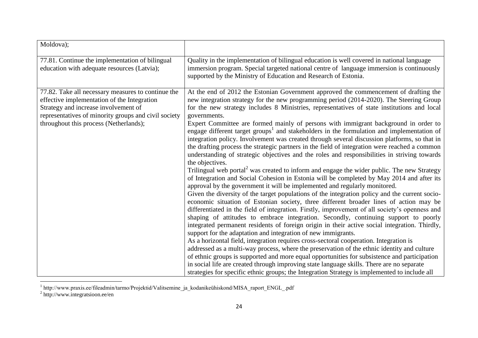| Moldova);                                                                                                                                                                                                                                   |                                                                                                                                                                                                                                                                                                                                                                                                                                                                                                                                                                                                                                                                                                                                                                                                                                                                                                                                                                                                                                                                                                                                                                                                                                                                                                                                                                                                                                                                                                                                                                                                                                                                                                                                                                                                                                                                                                                                                                                                                                                      |
|---------------------------------------------------------------------------------------------------------------------------------------------------------------------------------------------------------------------------------------------|------------------------------------------------------------------------------------------------------------------------------------------------------------------------------------------------------------------------------------------------------------------------------------------------------------------------------------------------------------------------------------------------------------------------------------------------------------------------------------------------------------------------------------------------------------------------------------------------------------------------------------------------------------------------------------------------------------------------------------------------------------------------------------------------------------------------------------------------------------------------------------------------------------------------------------------------------------------------------------------------------------------------------------------------------------------------------------------------------------------------------------------------------------------------------------------------------------------------------------------------------------------------------------------------------------------------------------------------------------------------------------------------------------------------------------------------------------------------------------------------------------------------------------------------------------------------------------------------------------------------------------------------------------------------------------------------------------------------------------------------------------------------------------------------------------------------------------------------------------------------------------------------------------------------------------------------------------------------------------------------------------------------------------------------------|
| 77.81. Continue the implementation of bilingual<br>education with adequate resources (Latvia);                                                                                                                                              | Quality in the implementation of bilingual education is well covered in national language<br>immersion program. Special targeted national centre of language immersion is continuously<br>supported by the Ministry of Education and Research of Estonia.                                                                                                                                                                                                                                                                                                                                                                                                                                                                                                                                                                                                                                                                                                                                                                                                                                                                                                                                                                                                                                                                                                                                                                                                                                                                                                                                                                                                                                                                                                                                                                                                                                                                                                                                                                                            |
| 77.82. Take all necessary measures to continue the<br>effective implementation of the Integration<br>Strategy and increase involvement of<br>representatives of minority groups and civil society<br>throughout this process (Netherlands); | At the end of 2012 the Estonian Government approved the commencement of drafting the<br>new integration strategy for the new programming period (2014-2020). The Steering Group<br>for the new strategy includes 8 Ministries, representatives of state institutions and local<br>governments.<br>Expert Committee are formed mainly of persons with immigrant background in order to<br>engage different target groups <sup>1</sup> and stakeholders in the formulation and implementation of<br>integration policy. Involvement was created through several discussion platforms, so that in<br>the drafting process the strategic partners in the field of integration were reached a common<br>understanding of strategic objectives and the roles and responsibilities in striving towards<br>the objectives.<br>Trilingual web portal <sup>2</sup> was created to inform and engage the wider public. The new Strategy<br>of Integration and Social Cohesion in Estonia will be completed by May 2014 and after its<br>approval by the government it will be implemented and regularly monitored.<br>Given the diversity of the target populations of the integration policy and the current socio-<br>economic situation of Estonian society, three different broader lines of action may be<br>differentiated in the field of integration. Firstly, improvement of all society's openness and<br>shaping of attitudes to embrace integration. Secondly, continuing support to poorly<br>integrated permanent residents of foreign origin in their active social integration. Thirdly,<br>support for the adaptation and integration of new immigrants.<br>As a horizontal field, integration requires cross-sectoral cooperation. Integration is<br>addressed as a multi-way process, where the preservation of the ethnic identity and culture<br>of ethnic groups is supported and more equal opportunities for subsistence and participation<br>in social life are created through improving state language skills. There are no separate |
|                                                                                                                                                                                                                                             | strategies for specific ethnic groups; the Integration Strategy is implemented to include all                                                                                                                                                                                                                                                                                                                                                                                                                                                                                                                                                                                                                                                                                                                                                                                                                                                                                                                                                                                                                                                                                                                                                                                                                                                                                                                                                                                                                                                                                                                                                                                                                                                                                                                                                                                                                                                                                                                                                        |

<sup>&</sup>lt;sup>1</sup> http://www.praxis.ee/fileadmin/tarmo/Projektid/Valitsemine\_ja\_kodanikeühiskond/MISA\_raport\_ENGL\_.pdf<br><sup>2</sup> http://www.integratsioon.ee/en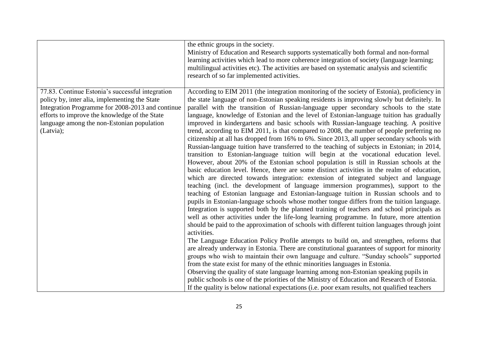|                                                                                                                                                                                                                                                                   | the ethnic groups in the society.<br>Ministry of Education and Research supports systematically both formal and non-formal<br>learning activities which lead to more coherence integration of society (language learning;<br>multilingual activities etc). The activities are based on systematic analysis and scientific<br>research of so far implemented activities.                                                                                                                                                                                                                                                                                                                                                                                                                                                                                                                                                                                                                                                                                                                                                                                                                                                                                                                                                                                                                                                                                                                                                                                                                                                                                                                                                                                                                                                                                                                                                                                                                                                                                                                                                                                                                                                                                                                                                                                                                                      |
|-------------------------------------------------------------------------------------------------------------------------------------------------------------------------------------------------------------------------------------------------------------------|--------------------------------------------------------------------------------------------------------------------------------------------------------------------------------------------------------------------------------------------------------------------------------------------------------------------------------------------------------------------------------------------------------------------------------------------------------------------------------------------------------------------------------------------------------------------------------------------------------------------------------------------------------------------------------------------------------------------------------------------------------------------------------------------------------------------------------------------------------------------------------------------------------------------------------------------------------------------------------------------------------------------------------------------------------------------------------------------------------------------------------------------------------------------------------------------------------------------------------------------------------------------------------------------------------------------------------------------------------------------------------------------------------------------------------------------------------------------------------------------------------------------------------------------------------------------------------------------------------------------------------------------------------------------------------------------------------------------------------------------------------------------------------------------------------------------------------------------------------------------------------------------------------------------------------------------------------------------------------------------------------------------------------------------------------------------------------------------------------------------------------------------------------------------------------------------------------------------------------------------------------------------------------------------------------------------------------------------------------------------------------------------------------------|
| 77.83. Continue Estonia's successful integration<br>policy by, inter alia, implementing the State<br>Integration Programme for 2008-2013 and continue<br>efforts to improve the knowledge of the State<br>language among the non-Estonian population<br>(Latvia); | According to EIM 2011 (the integration monitoring of the society of Estonia), proficiency in<br>the state language of non-Estonian speaking residents is improving slowly but definitely. In<br>parallel with the transition of Russian-language upper secondary schools to the state<br>language, knowledge of Estonian and the level of Estonian-language tuition has gradually<br>improved in kindergartens and basic schools with Russian-language teaching. A positive<br>trend, according to EIM 2011, is that compared to 2008, the number of people preferring no<br>citizenship at all has dropped from 16% to 6%. Since 2013, all upper secondary schools with<br>Russian-language tuition have transferred to the teaching of subjects in Estonian; in 2014,<br>transition to Estonian-language tuition will begin at the vocational education level.<br>However, about 20% of the Estonian school population is still in Russian schools at the<br>basic education level. Hence, there are some distinct activities in the realm of education,<br>which are directed towards integration: extension of integrated subject and language<br>teaching (incl. the development of language immersion programmes), support to the<br>teaching of Estonian language and Estonian-language tuition in Russian schools and to<br>pupils in Estonian-language schools whose mother tongue differs from the tuition language.<br>Integration is supported both by the planned training of teachers and school principals as<br>well as other activities under the life-long learning programme. In future, more attention<br>should be paid to the approximation of schools with different tuition languages through joint<br>activities.<br>The Language Education Policy Profile attempts to build on, and strengthen, reforms that<br>are already underway in Estonia. There are constitutional guarantees of support for minority<br>groups who wish to maintain their own language and culture. "Sunday schools" supported<br>from the state exist for many of the ethnic minorities languages in Estonia.<br>Observing the quality of state language learning among non-Estonian speaking pupils in<br>public schools is one of the priorities of the Ministry of Education and Research of Estonia.<br>If the quality is below national expectations (i.e. poor exam results, not qualified teachers |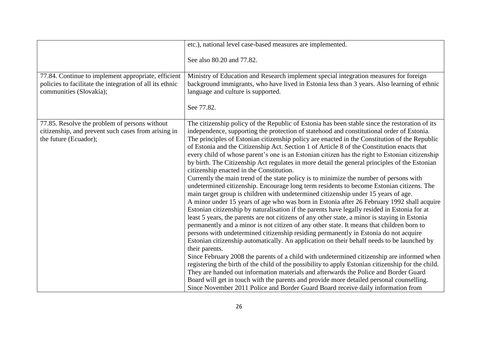|                                                                                                                                            | etc.), national level case-based measures are implemented.                                                                                                                                                                                                                                                                                                                                                                                                                                                                                                                                                                                                                                                                                                                                                                                                                                                                                                                                                                                                                                                                                                                                                                                                                                                                                                                                                                                                                                                                                                                                                                                                                                                                                                                                                                                                                                                                                                                                            |
|--------------------------------------------------------------------------------------------------------------------------------------------|-------------------------------------------------------------------------------------------------------------------------------------------------------------------------------------------------------------------------------------------------------------------------------------------------------------------------------------------------------------------------------------------------------------------------------------------------------------------------------------------------------------------------------------------------------------------------------------------------------------------------------------------------------------------------------------------------------------------------------------------------------------------------------------------------------------------------------------------------------------------------------------------------------------------------------------------------------------------------------------------------------------------------------------------------------------------------------------------------------------------------------------------------------------------------------------------------------------------------------------------------------------------------------------------------------------------------------------------------------------------------------------------------------------------------------------------------------------------------------------------------------------------------------------------------------------------------------------------------------------------------------------------------------------------------------------------------------------------------------------------------------------------------------------------------------------------------------------------------------------------------------------------------------------------------------------------------------------------------------------------------------|
|                                                                                                                                            | See also 80.20 and 77.82.                                                                                                                                                                                                                                                                                                                                                                                                                                                                                                                                                                                                                                                                                                                                                                                                                                                                                                                                                                                                                                                                                                                                                                                                                                                                                                                                                                                                                                                                                                                                                                                                                                                                                                                                                                                                                                                                                                                                                                             |
| 77.84. Continue to implement appropriate, efficient<br>policies to facilitate the integration of all its ethnic<br>communities (Slovakia); | Ministry of Education and Research implement special integration measures for foreign<br>background immigrants, who have lived in Estonia less than 3 years. Also learning of ethnic<br>language and culture is supported.<br>See 77.82.                                                                                                                                                                                                                                                                                                                                                                                                                                                                                                                                                                                                                                                                                                                                                                                                                                                                                                                                                                                                                                                                                                                                                                                                                                                                                                                                                                                                                                                                                                                                                                                                                                                                                                                                                              |
| 77.85. Resolve the problem of persons without<br>citizenship, and prevent such cases from arising in<br>the future (Ecuador);              | The citizenship policy of the Republic of Estonia has been stable since the restoration of its<br>independence, supporting the protection of statehood and constitutional order of Estonia.<br>The principles of Estonian citizenship policy are enacted in the Constitution of the Republic<br>of Estonia and the Citizenship Act. Section 1 of Article 8 of the Constitution enacts that<br>every child of whose parent's one is an Estonian citizen has the right to Estonian citizenship<br>by birth. The Citizenship Act regulates in more detail the general principles of the Estonian<br>citizenship enacted in the Constitution.<br>Currently the main trend of the state policy is to minimize the number of persons with<br>undetermined citizenship. Encourage long term residents to become Estonian citizens. The<br>main target group is children with undetermined citizenship under 15 years of age.<br>A minor under 15 years of age who was born in Estonia after 26 February 1992 shall acquire<br>Estonian citizenship by naturalisation if the parents have legally resided in Estonia for at<br>least 5 years, the parents are not citizens of any other state, a minor is staying in Estonia<br>permanently and a minor is not citizen of any other state. It means that children born to<br>persons with undetermined citizenship residing permanently in Estonia do not acquire<br>Estonian citizenship automatically. An application on their behalf needs to be launched by<br>their parents.<br>Since February 2008 the parents of a child with undetermined citizenship are informed when<br>registering the birth of the child of the possibility to apply Estonian citizenship for the child.<br>They are handed out information materials and afterwards the Police and Border Guard<br>Board will get in touch with the parents and provide more detailed personal counselling.<br>Since November 2011 Police and Border Guard Board receive daily information from |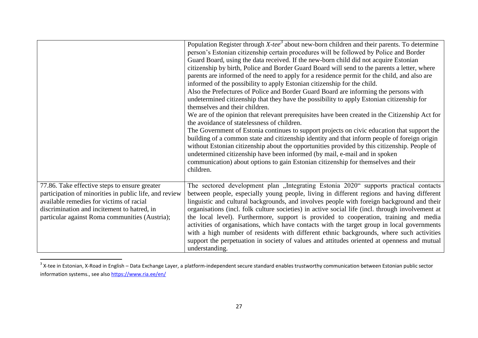|                                                                                                                                                                                                                                                      | Population Register through $X$ -tee <sup>3</sup> about new-born children and their parents. To determine<br>person's Estonian citizenship certain procedures will be followed by Police and Border<br>Guard Board, using the data received. If the new-born child did not acquire Estonian<br>citizenship by birth, Police and Border Guard Board will send to the parents a letter, where<br>parents are informed of the need to apply for a residence permit for the child, and also are<br>informed of the possibility to apply Estonian citizenship for the child.<br>Also the Prefectures of Police and Border Guard Board are informing the persons with<br>undetermined citizenship that they have the possibility to apply Estonian citizenship for<br>themselves and their children.<br>We are of the opinion that relevant prerequisites have been created in the Citizenship Act for<br>the avoidance of statelessness of children.<br>The Government of Estonia continues to support projects on civic education that support the<br>building of a common state and citizenship identity and that inform people of foreign origin<br>without Estonian citizenship about the opportunities provided by this citizenship. People of<br>undetermined citizenship have been informed (by mail, e-mail and in spoken<br>communication) about options to gain Estonian citizenship for themselves and their<br>children. |
|------------------------------------------------------------------------------------------------------------------------------------------------------------------------------------------------------------------------------------------------------|---------------------------------------------------------------------------------------------------------------------------------------------------------------------------------------------------------------------------------------------------------------------------------------------------------------------------------------------------------------------------------------------------------------------------------------------------------------------------------------------------------------------------------------------------------------------------------------------------------------------------------------------------------------------------------------------------------------------------------------------------------------------------------------------------------------------------------------------------------------------------------------------------------------------------------------------------------------------------------------------------------------------------------------------------------------------------------------------------------------------------------------------------------------------------------------------------------------------------------------------------------------------------------------------------------------------------------------------------------------------------------------------------------------------------------|
| 77.86. Take effective steps to ensure greater<br>participation of minorities in public life, and review<br>available remedies for victims of racial<br>discrimination and incitement to hatred, in<br>particular against Roma communities (Austria); | The sectored development plan "Integrating Estonia 2020" supports practical contacts<br>between people, especially young people, living in different regions and having different<br>linguistic and cultural backgrounds, and involves people with foreign background and their<br>organisations (incl. folk culture societies) in active social life (incl. through involvement at<br>the local level). Furthermore, support is provided to cooperation, training and media<br>activities of organisations, which have contacts with the target group in local governments<br>with a high number of residents with different ethnic backgrounds, where such activities<br>support the perpetuation in society of values and attitudes oriented at openness and mutual<br>understanding.                                                                                                                                                                                                                                                                                                                                                                                                                                                                                                                                                                                                                                        |

<sup>3&</sup>lt;br><sup>3</sup> X-tee in Estonian, X-Road in English – Data Exchange Layer, a platform-independent secure standard enables trustworthy communication between Estonian public sector information systems., see also <https://www.ria.ee/en/>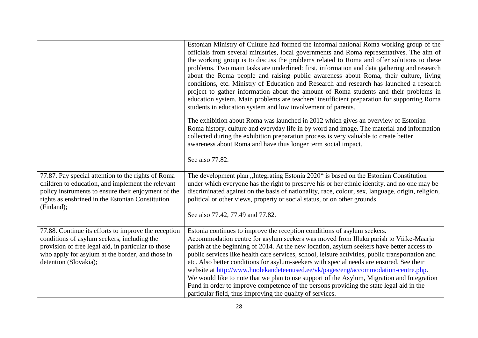|                                                                                                                                                                                                                                         | Estonian Ministry of Culture had formed the informal national Roma working group of the<br>officials from several ministries, local governments and Roma representatives. The aim of<br>the working group is to discuss the problems related to Roma and offer solutions to these<br>problems. Two main tasks are underlined: first, information and data gathering and research<br>about the Roma people and raising public awareness about Roma, their culture, living<br>conditions, etc. Ministry of Education and Research and research has launched a research<br>project to gather information about the amount of Roma students and their problems in<br>education system. Main problems are teachers' insufficient preparation for supporting Roma<br>students in education system and low involvement of parents. |
|-----------------------------------------------------------------------------------------------------------------------------------------------------------------------------------------------------------------------------------------|-----------------------------------------------------------------------------------------------------------------------------------------------------------------------------------------------------------------------------------------------------------------------------------------------------------------------------------------------------------------------------------------------------------------------------------------------------------------------------------------------------------------------------------------------------------------------------------------------------------------------------------------------------------------------------------------------------------------------------------------------------------------------------------------------------------------------------|
|                                                                                                                                                                                                                                         | The exhibition about Roma was launched in 2012 which gives an overview of Estonian<br>Roma history, culture and everyday life in by word and image. The material and information<br>collected during the exhibition preparation process is very valuable to create better<br>awareness about Roma and have thus longer term social impact.<br>See also 77.82.                                                                                                                                                                                                                                                                                                                                                                                                                                                               |
|                                                                                                                                                                                                                                         |                                                                                                                                                                                                                                                                                                                                                                                                                                                                                                                                                                                                                                                                                                                                                                                                                             |
| 77.87. Pay special attention to the rights of Roma<br>children to education, and implement the relevant<br>policy instruments to ensure their enjoyment of the<br>rights as enshrined in the Estonian Constitution<br>(Finland);        | The development plan "Integrating Estonia 2020" is based on the Estonian Constitution<br>under which everyone has the right to preserve his or her ethnic identity, and no one may be<br>discriminated against on the basis of nationality, race, colour, sex, language, origin, religion,<br>political or other views, property or social status, or on other grounds.                                                                                                                                                                                                                                                                                                                                                                                                                                                     |
|                                                                                                                                                                                                                                         | See also 77.42, 77.49 and 77.82.                                                                                                                                                                                                                                                                                                                                                                                                                                                                                                                                                                                                                                                                                                                                                                                            |
| 77.88. Continue its efforts to improve the reception<br>conditions of asylum seekers, including the<br>provision of free legal aid, in particular to those<br>who apply for asylum at the border, and those in<br>detention (Slovakia); | Estonia continues to improve the reception conditions of asylum seekers.<br>Accommodation centre for asylum seekers was moved from Illuka parish to Väike-Maarja<br>parish at the beginning of 2014. At the new location, asylum seekers have better access to<br>public services like health care services, school, leisure activities, public transportation and<br>etc. Also better conditions for asylum-seekers with special needs are ensured. See their<br>website at http://www.hoolekandeteenused.ee/vk/pages/eng/accommodation-centre.php.<br>We would like to note that we plan to use support of the Asylum, Migration and Integration<br>Fund in order to improve competence of the persons providing the state legal aid in the<br>particular field, thus improving the quality of services.                  |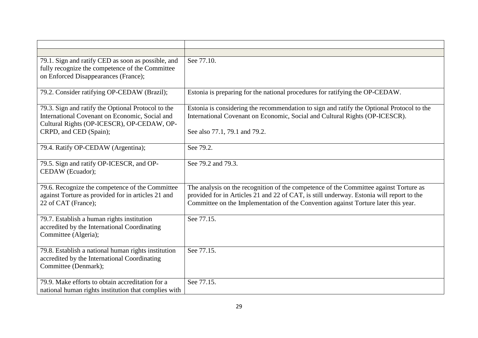| 79.1. Sign and ratify CED as soon as possible, and<br>fully recognize the competence of the Committee<br>on Enforced Disappearances (France);                                | See 77.10.                                                                                                                                                                                                                                                              |
|------------------------------------------------------------------------------------------------------------------------------------------------------------------------------|-------------------------------------------------------------------------------------------------------------------------------------------------------------------------------------------------------------------------------------------------------------------------|
| 79.2. Consider ratifying OP-CEDAW (Brazil);                                                                                                                                  | Estonia is preparing for the national procedures for ratifying the OP-CEDAW.                                                                                                                                                                                            |
| 79.3. Sign and ratify the Optional Protocol to the<br>International Covenant on Economic, Social and<br>Cultural Rights (OP-ICESCR), OP-CEDAW, OP-<br>CRPD, and CED (Spain); | Estonia is considering the recommendation to sign and ratify the Optional Protocol to the<br>International Covenant on Economic, Social and Cultural Rights (OP-ICESCR).<br>See also 77.1, 79.1 and 79.2.                                                               |
| 79.4. Ratify OP-CEDAW (Argentina);                                                                                                                                           | See 79.2.                                                                                                                                                                                                                                                               |
| 79.5. Sign and ratify OP-ICESCR, and OP-<br>CEDAW (Ecuador);                                                                                                                 | See 79.2 and 79.3.                                                                                                                                                                                                                                                      |
| 79.6. Recognize the competence of the Committee<br>against Torture as provided for in articles 21 and<br>22 of CAT (France);                                                 | The analysis on the recognition of the competence of the Committee against Torture as<br>provided for in Articles 21 and 22 of CAT, is still underway. Estonia will report to the<br>Committee on the Implementation of the Convention against Torture later this year. |
| 79.7. Establish a human rights institution<br>accredited by the International Coordinating<br>Committee (Algeria);                                                           | See 77.15.                                                                                                                                                                                                                                                              |
| 79.8. Establish a national human rights institution<br>accredited by the International Coordinating<br>Committee (Denmark);                                                  | See 77.15.                                                                                                                                                                                                                                                              |
| 79.9. Make efforts to obtain accreditation for a<br>national human rights institution that complies with                                                                     | See 77.15.                                                                                                                                                                                                                                                              |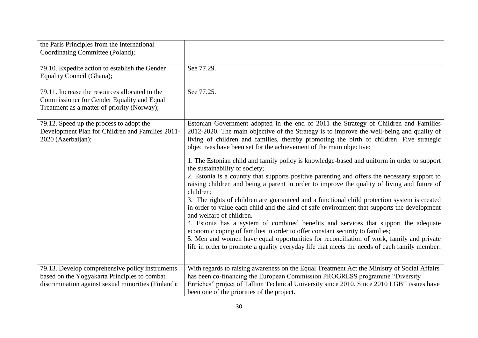| the Paris Principles from the International<br>Coordinating Committee (Poland);                                                                        |                                                                                                                                                                                                                                                                                                                                                                                                                                                                                                                                                                                                                                                            |
|--------------------------------------------------------------------------------------------------------------------------------------------------------|------------------------------------------------------------------------------------------------------------------------------------------------------------------------------------------------------------------------------------------------------------------------------------------------------------------------------------------------------------------------------------------------------------------------------------------------------------------------------------------------------------------------------------------------------------------------------------------------------------------------------------------------------------|
| 79.10. Expedite action to establish the Gender<br>Equality Council (Ghana);                                                                            | See 77.29.                                                                                                                                                                                                                                                                                                                                                                                                                                                                                                                                                                                                                                                 |
| 79.11. Increase the resources allocated to the<br><b>Commissioner for Gender Equality and Equal</b><br>Treatment as a matter of priority (Norway);     | See 77.25.                                                                                                                                                                                                                                                                                                                                                                                                                                                                                                                                                                                                                                                 |
| 79.12. Speed up the process to adopt the<br>Development Plan for Children and Families 2011-<br>2020 (Azerbaijan);                                     | Estonian Government adopted in the end of 2011 the Strategy of Children and Families<br>2012-2020. The main objective of the Strategy is to improve the well-being and quality of<br>living of children and families, thereby promoting the birth of children. Five strategic<br>objectives have been set for the achievement of the main objective:                                                                                                                                                                                                                                                                                                       |
|                                                                                                                                                        | 1. The Estonian child and family policy is knowledge-based and uniform in order to support<br>the sustainability of society;<br>2. Estonia is a country that supports positive parenting and offers the necessary support to<br>raising children and being a parent in order to improve the quality of living and future of<br>children;<br>3. The rights of children are guaranteed and a functional child protection system is created<br>in order to value each child and the kind of safe environment that supports the development<br>and welfare of children.<br>4. Estonia has a system of combined benefits and services that support the adequate |
|                                                                                                                                                        | economic coping of families in order to offer constant security to families;<br>5. Men and women have equal opportunities for reconciliation of work, family and private<br>life in order to promote a quality everyday life that meets the needs of each family member.                                                                                                                                                                                                                                                                                                                                                                                   |
| 79.13. Develop comprehensive policy instruments<br>based on the Yogyakarta Principles to combat<br>discrimination against sexual minorities (Finland); | With regards to raising awareness on the Equal Treatment Act the Ministry of Social Affairs<br>has been co-financing the European Commission PROGRESS programme "Diversity<br>Enriches" project of Tallinn Technical University since 2010. Since 2010 LGBT issues have<br>been one of the priorities of the project.                                                                                                                                                                                                                                                                                                                                      |